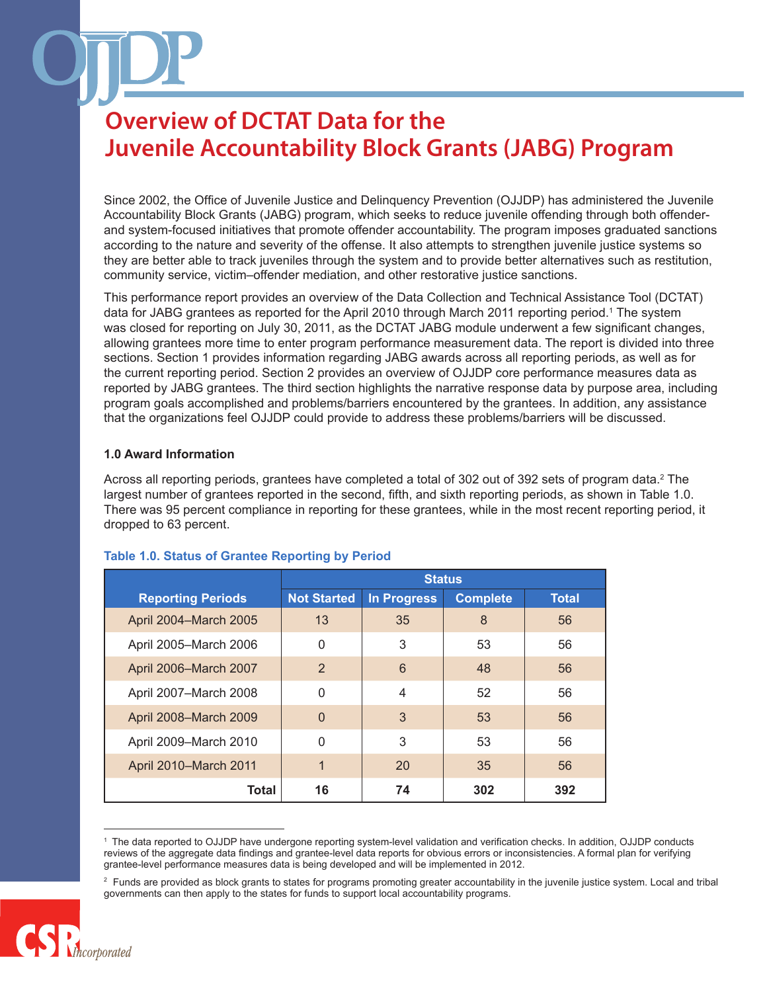Since 2002, the Office of Juvenile Justice and Delinquency Prevention (OJJDP) has administered the Juvenile Accountability Block Grants (JABG) program, which seeks to reduce juvenile offending through both offenderand system-focused initiatives that promote offender accountability. The program imposes graduated sanctions according to the nature and severity of the offense. It also attempts to strengthen juvenile justice systems so they are better able to track juveniles through the system and to provide better alternatives such as restitution, community service, victim–offender mediation, and other restorative justice sanctions.

This performance report provides an overview of the Data Collection and Technical Assistance Tool (DCTAT) data for JABG grantees as reported for the April 2010 through March 2011 reporting period.1 The system was closed for reporting on July 30, 2011, as the DCTAT JABG module underwent a few significant changes, allowing grantees more time to enter program performance measurement data. The report is divided into three sections. Section 1 provides information regarding JABG awards across all reporting periods, as well as for the current reporting period. Section 2 provides an overview of OJJDP core performance measures data as reported by JABG grantees. The third section highlights the narrative response data by purpose area, including program goals accomplished and problems/barriers encountered by the grantees. In addition, any assistance that the organizations feel OJJDP could provide to address these problems/barriers will be discussed.

### **1.0 Award Information**

Across all reporting periods, grantees have completed a total of 302 out of 392 sets of program data.<sup>2</sup> The largest number of grantees reported in the second, fifth, and sixth reporting periods, as shown in Table 1.0. There was 95 percent compliance in reporting for these grantees, while in the most recent reporting period, it dropped to 63 percent.

|                          | <b>Status</b>      |             |                 |              |
|--------------------------|--------------------|-------------|-----------------|--------------|
| <b>Reporting Periods</b> | <b>Not Started</b> | In Progress | <b>Complete</b> | <b>Total</b> |
| April 2004-March 2005    | 13                 | 35          | 8               | 56           |
| April 2005-March 2006    | 0                  | 3           | 53              | 56           |
| April 2006-March 2007    | $\overline{2}$     | 6           | 48              | 56           |
| April 2007-March 2008    | $\mathbf 0$        | 4           | 52              | 56           |
| April 2008-March 2009    | $\Omega$           | 3           | 53              | 56           |
| April 2009-March 2010    | $\mathbf{0}$       | 3           | 53              | 56           |
| April 2010-March 2011    | 1                  | 20          | 35              | 56           |
| Total                    | 16                 | 74          | 302             | 392          |

### **Table 1.0. Status of Grantee Reporting by Period**

<sup>&</sup>lt;sup>2</sup> Funds are provided as block grants to states for programs promoting greater accountability in the juvenile justice system. Local and tribal governments can then apply to the states for funds to support local accountability programs.



<sup>1</sup> The data reported to OJJDP have undergone reporting system-level validation and verification checks. In addition, OJJDP conducts reviews of the aggregate data findings and grantee-level data reports for obvious errors or inconsistencies. A formal plan for verifying grantee-level performance measures data is being developed and will be implemented in 2012.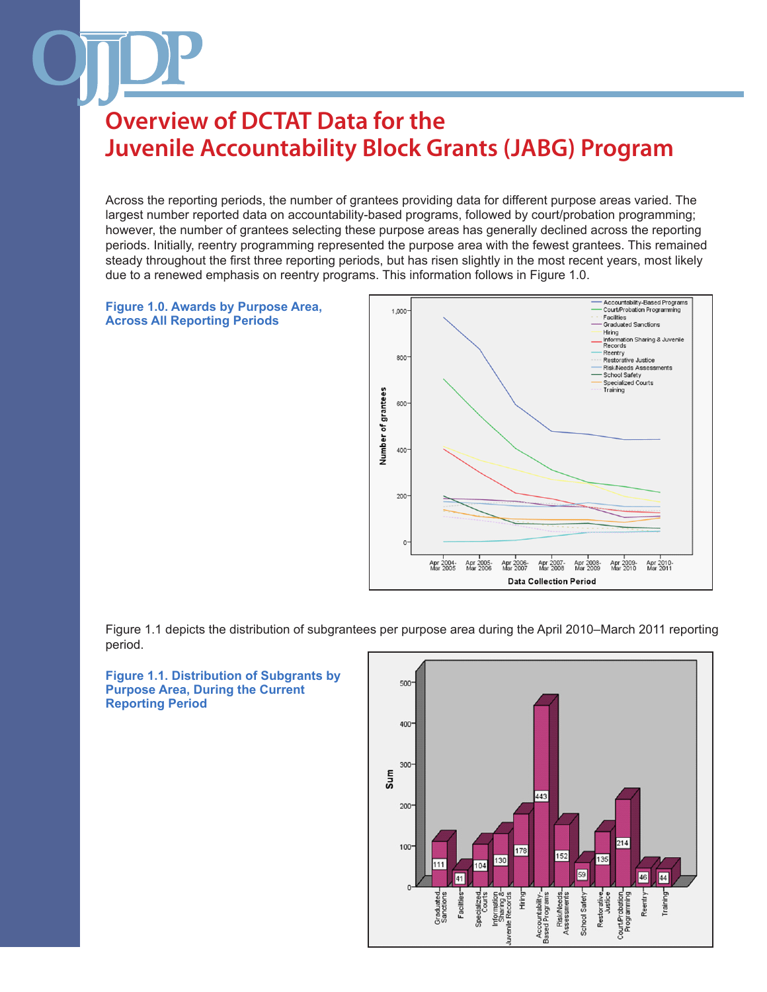Across the reporting periods, the number of grantees providing data for different purpose areas varied. The largest number reported data on accountability-based programs, followed by court/probation programming; however, the number of grantees selecting these purpose areas has generally declined across the reporting periods. Initially, reentry programming represented the purpose area with the fewest grantees. This remained steady throughout the first three reporting periods, but has risen slightly in the most recent years, most likely due to a renewed emphasis on reentry programs. This information follows in Figure 1.0.





Figure 1.1 depicts the distribution of subgrantees per purpose area during the April 2010–March 2011 reporting period.

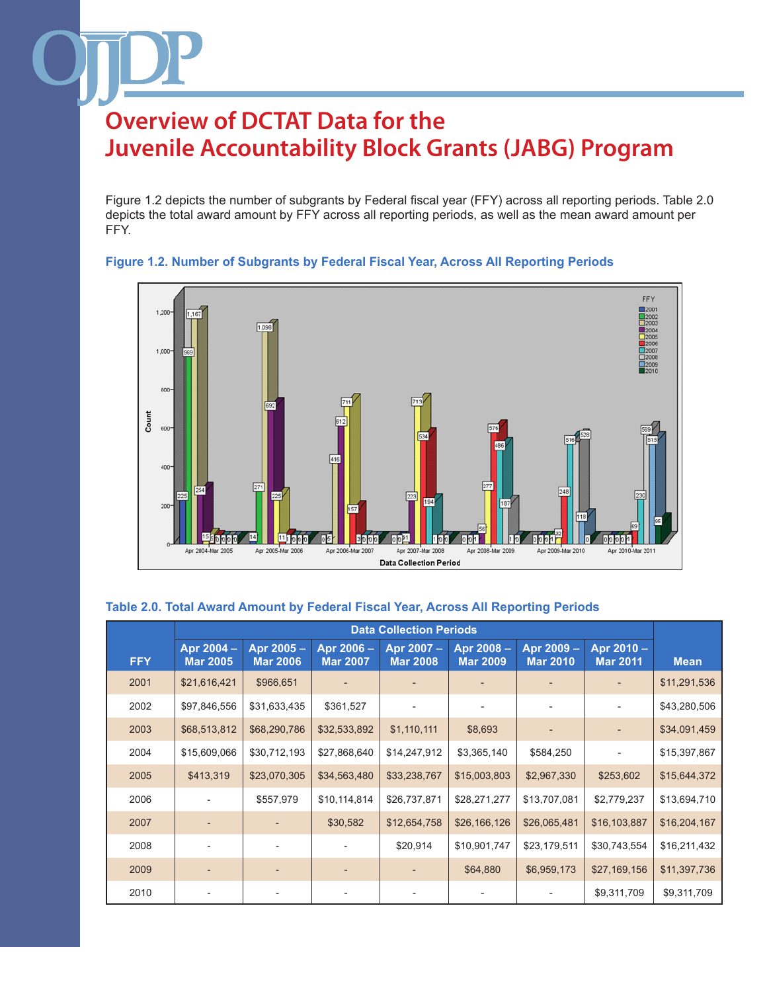Figure 1.2 depicts the number of subgrants by Federal fiscal year (FFY) across all reporting periods. Table 2.0 depicts the total award amount by FFY across all reporting periods, as well as the mean award amount per FFY.



### **Figure 1.2. Number of Subgrants by Federal Fiscal Year, Across All Reporting Periods**

### **Table 2.0. Total Award Amount by Federal Fiscal Year, Across All Reporting Periods**

|            | <b>Data Collection Periods</b> |                              |                               |                               |                              |                               |                               |              |
|------------|--------------------------------|------------------------------|-------------------------------|-------------------------------|------------------------------|-------------------------------|-------------------------------|--------------|
| <b>FFY</b> | Apr 2004 -<br><b>Mar 2005</b>  | Apr 2005-<br><b>Mar 2006</b> | Apr 2006 -<br><b>Mar 2007</b> | Apr 2007 -<br><b>Mar 2008</b> | Apr 2008-<br><b>Mar 2009</b> | Apr 2009 -<br><b>Mar 2010</b> | Apr 2010 -<br><b>Mar 2011</b> | <b>Mean</b>  |
| 2001       | \$21,616,421                   | \$966,651                    |                               |                               |                              |                               |                               | \$11,291,536 |
| 2002       | \$97,846,556                   | \$31,633,435                 | \$361,527                     |                               |                              |                               |                               | \$43,280,506 |
| 2003       | \$68,513,812                   | \$68,290,786                 | \$32,533,892                  | \$1,110,111                   | \$8,693                      |                               |                               | \$34,091,459 |
| 2004       | \$15,609,066                   | \$30,712,193                 | \$27,868,640                  | \$14,247,912                  | \$3,365,140                  | \$584,250                     | $\qquad \qquad \blacksquare$  | \$15,397,867 |
| 2005       | \$413,319                      | \$23,070,305                 | \$34,563,480                  | \$33,238,767                  | \$15,003,803                 | \$2,967,330                   | \$253,602                     | \$15,644,372 |
| 2006       |                                | \$557,979                    | \$10,114,814                  | \$26,737,871                  | \$28,271,277                 | \$13,707,081                  | \$2,779,237                   | \$13,694,710 |
| 2007       |                                |                              | \$30,582                      | \$12,654,758                  | \$26,166,126                 | \$26,065,481                  | \$16,103,887                  | \$16,204,167 |
| 2008       |                                |                              |                               | \$20,914                      | \$10,901,747                 | \$23,179,511                  | \$30,743,554                  | \$16,211,432 |
| 2009       |                                |                              |                               |                               | \$64,880                     | \$6,959,173                   | \$27,169,156                  | \$11,397,736 |
| 2010       |                                |                              |                               |                               |                              |                               | \$9,311,709                   | \$9,311,709  |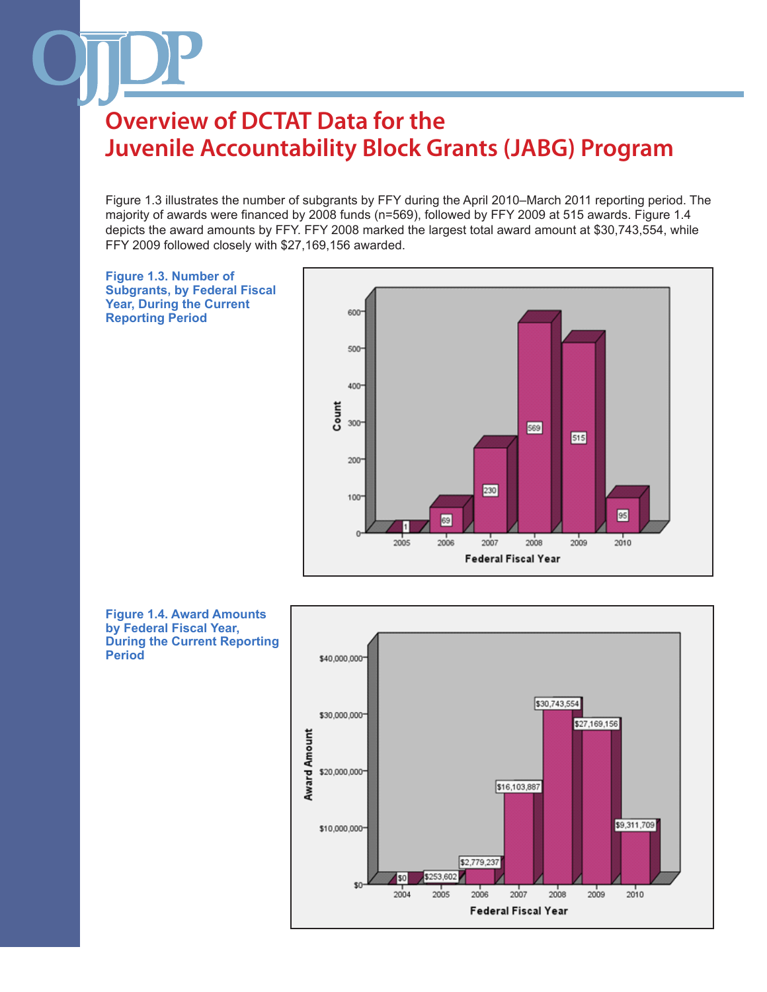Figure 1.3 illustrates the number of subgrants by FFY during the April 2010–March 2011 reporting period. The majority of awards were financed by 2008 funds (n=569), followed by FFY 2009 at 515 awards. Figure 1.4 depicts the award amounts by FFY. FFY 2008 marked the largest total award amount at \$30,743,554, while FFY 2009 followed closely with \$27,169,156 awarded.





**by Federal Fiscal Year, During the Current Reporting Period**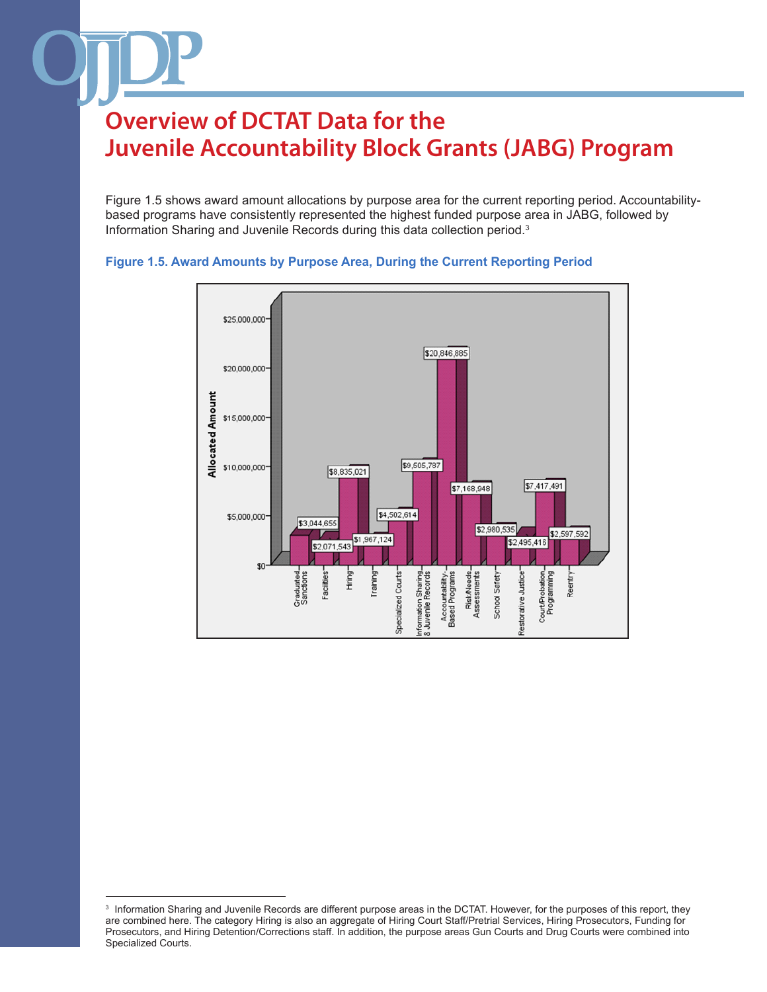Figure 1.5 shows award amount allocations by purpose area for the current reporting period. Accountabilitybased programs have consistently represented the highest funded purpose area in JABG, followed by Information Sharing and Juvenile Records during this data collection period.3



#### **Figure 1.5. Award Amounts by Purpose Area, During the Current Reporting Period**

<sup>3</sup> Information Sharing and Juvenile Records are different purpose areas in the DCTAT. However, for the purposes of this report, they are combined here. The category Hiring is also an aggregate of Hiring Court Staff/Pretrial Services, Hiring Prosecutors, Funding for Prosecutors, and Hiring Detention/Corrections staff. In addition, the purpose areas Gun Courts and Drug Courts were combined into Specialized Courts.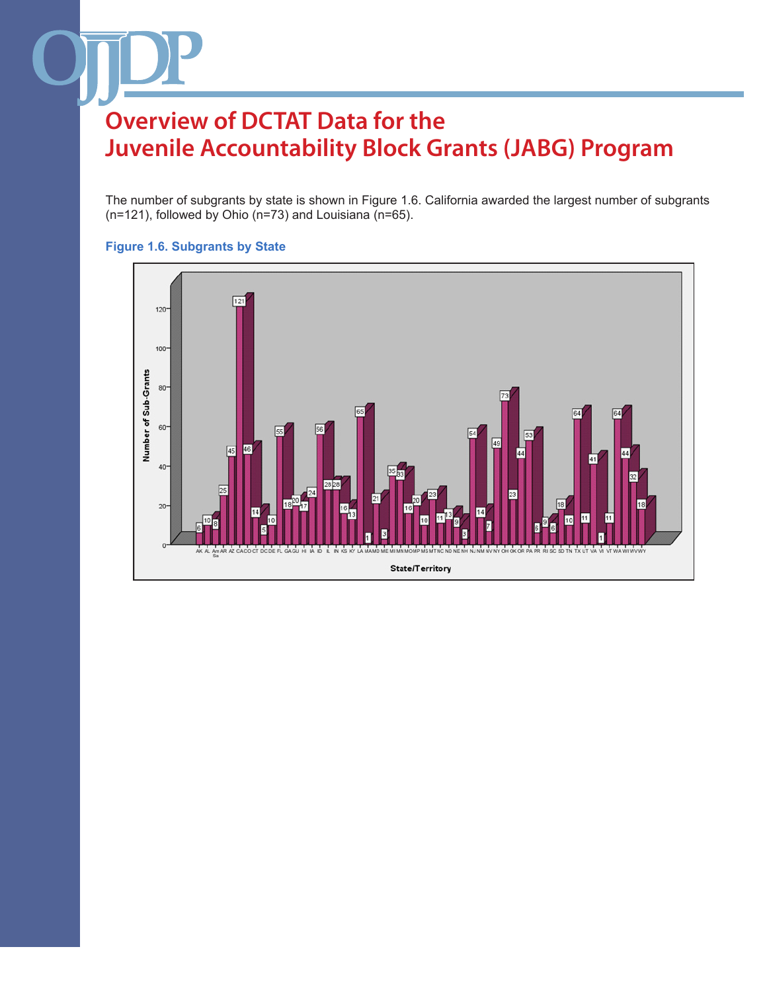The number of subgrants by state is shown in Figure 1.6. California awarded the largest number of subgrants (n=121), followed by Ohio (n=73) and Louisiana (n=65).



### **Figure 1.6. Subgrants by State**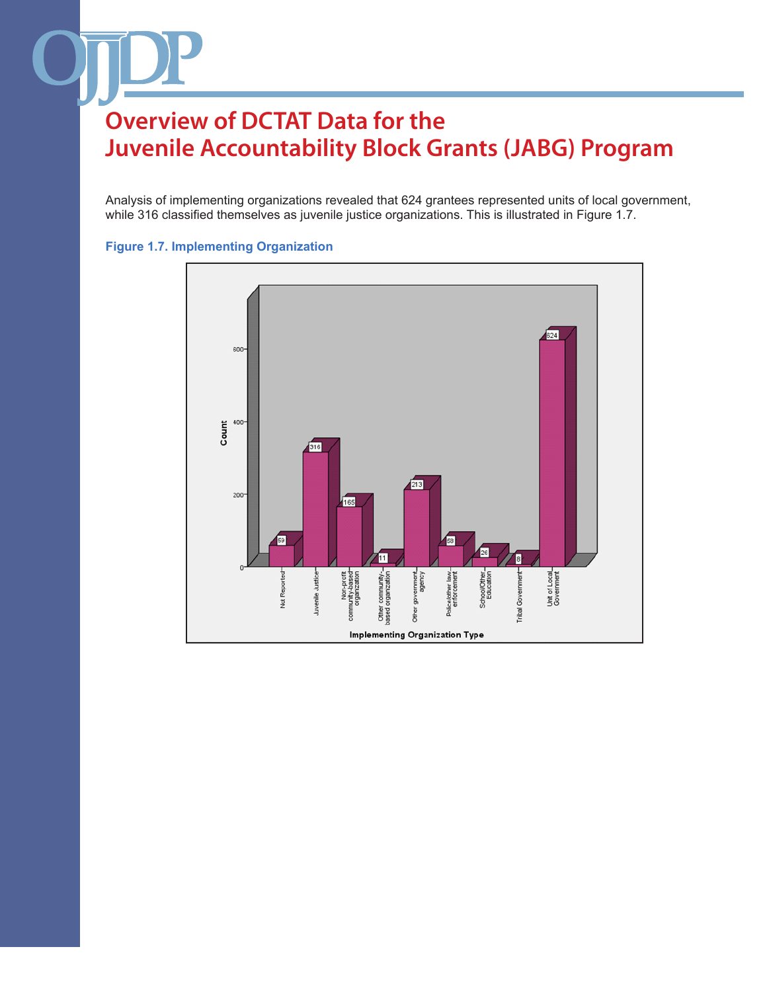Analysis of implementing organizations revealed that 624 grantees represented units of local government, while 316 classified themselves as juvenile justice organizations. This is illustrated in Figure 1.7.



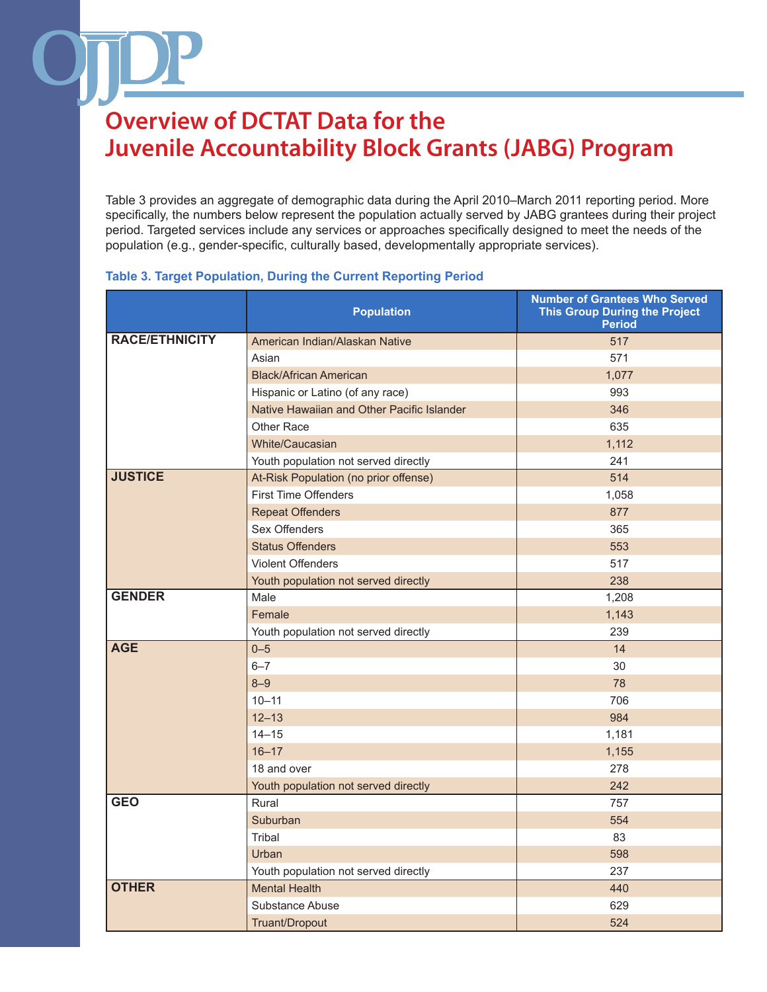Table 3 provides an aggregate of demographic data during the April 2010–March 2011 reporting period. More specifically, the numbers below represent the population actually served by JABG grantees during their project period. Targeted services include any services or approaches specifically designed to meet the needs of the population (e.g., gender-specific, culturally based, developmentally appropriate services).

### **Table 3. Target Population, During the Current Reporting Period**

|                       | <b>Population</b>                          | <b>Number of Grantees Who Served</b><br><b>This Group During the Project</b><br><b>Period</b> |
|-----------------------|--------------------------------------------|-----------------------------------------------------------------------------------------------|
| <b>RACE/ETHNICITY</b> | American Indian/Alaskan Native             | 517                                                                                           |
|                       | Asian                                      | 571                                                                                           |
|                       | <b>Black/African American</b>              | 1,077                                                                                         |
|                       | Hispanic or Latino (of any race)           | 993                                                                                           |
|                       | Native Hawaiian and Other Pacific Islander | 346                                                                                           |
|                       | Other Race                                 | 635                                                                                           |
|                       | <b>White/Caucasian</b>                     | 1,112                                                                                         |
|                       | Youth population not served directly       | 241                                                                                           |
| <b>JUSTICE</b>        | At-Risk Population (no prior offense)      | 514                                                                                           |
|                       | <b>First Time Offenders</b>                | 1,058                                                                                         |
|                       | <b>Repeat Offenders</b>                    | 877                                                                                           |
|                       | <b>Sex Offenders</b>                       | 365                                                                                           |
|                       | <b>Status Offenders</b>                    | 553                                                                                           |
|                       | <b>Violent Offenders</b>                   | 517                                                                                           |
|                       | Youth population not served directly       | 238                                                                                           |
| <b>GENDER</b>         | Male                                       | 1,208                                                                                         |
|                       | Female                                     | 1,143                                                                                         |
|                       | Youth population not served directly       | 239                                                                                           |
| <b>AGE</b>            | $0 - 5$                                    | 14                                                                                            |
|                       | $6 - 7$                                    | 30                                                                                            |
|                       | $8 - 9$                                    | 78                                                                                            |
|                       | $10 - 11$                                  | 706                                                                                           |
|                       | $12 - 13$                                  | 984                                                                                           |
|                       | $14 - 15$                                  | 1,181                                                                                         |
|                       | $16 - 17$                                  | 1,155                                                                                         |
|                       | 18 and over                                | 278                                                                                           |
|                       | Youth population not served directly       | 242                                                                                           |
| <b>GEO</b>            | Rural                                      | 757                                                                                           |
|                       | Suburban                                   | 554                                                                                           |
|                       | Tribal                                     | 83                                                                                            |
|                       | Urban                                      | 598                                                                                           |
|                       | Youth population not served directly       | 237                                                                                           |
| <b>OTHER</b>          | <b>Mental Health</b>                       | 440                                                                                           |
|                       | Substance Abuse                            | 629                                                                                           |
|                       | Truant/Dropout                             | 524                                                                                           |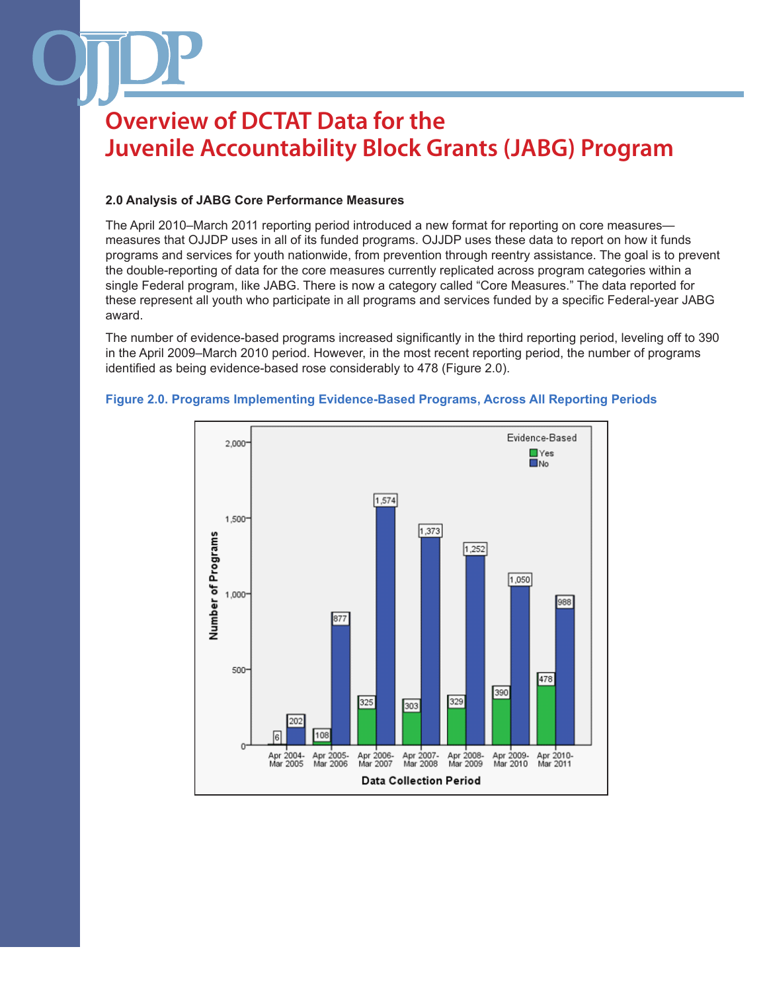### **2.0 Analysis of JABG Core Performance Measures**

The April 2010–March 2011 reporting period introduced a new format for reporting on core measures measures that OJJDP uses in all of its funded programs. OJJDP uses these data to report on how it funds programs and services for youth nationwide, from prevention through reentry assistance. The goal is to prevent the double-reporting of data for the core measures currently replicated across program categories within a single Federal program, like JABG. There is now a category called "Core Measures." The data reported for these represent all youth who participate in all programs and services funded by a specific Federal-year JABG award.

The number of evidence-based programs increased significantly in the third reporting period, leveling off to 390 in the April 2009–March 2010 period. However, in the most recent reporting period, the number of programs identified as being evidence-based rose considerably to 478 (Figure 2.0).



#### **Figure 2.0. Programs Implementing Evidence-Based Programs, Across All Reporting Periods**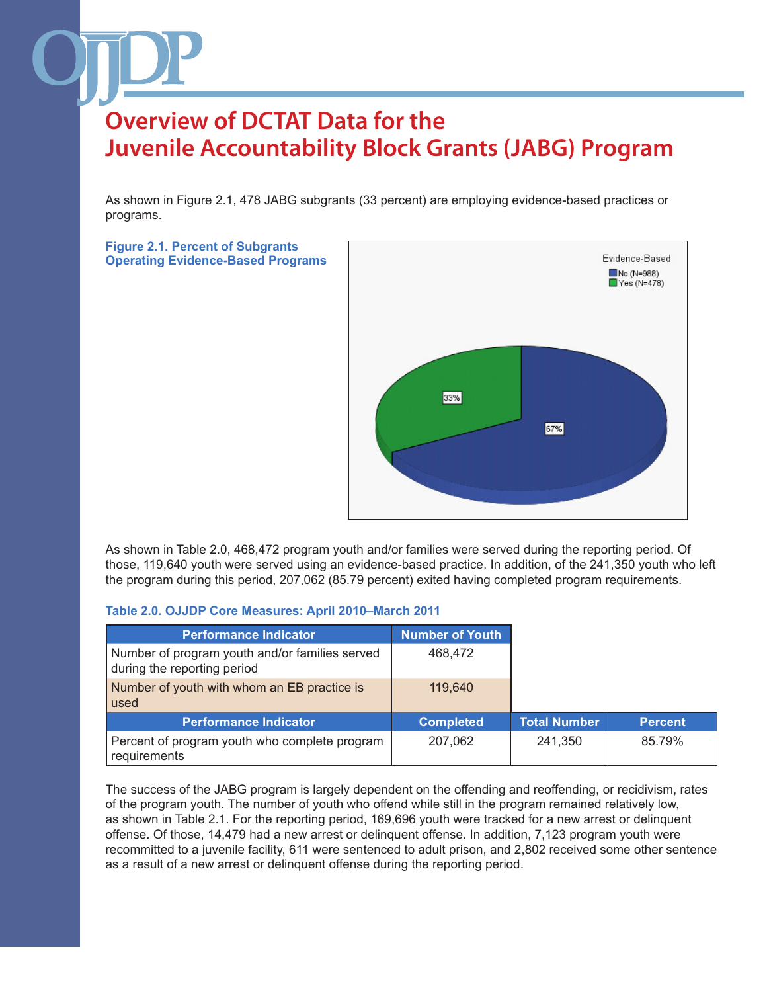As shown in Figure 2.1, 478 JABG subgrants (33 percent) are employing evidence-based practices or programs.

**Figure 2.1. Percent of Subgrants Operating Evidence-Based Programs**



As shown in Table 2.0, 468,472 program youth and/or families were served during the reporting period. Of those, 119,640 youth were served using an evidence-based practice. In addition, of the 241,350 youth who left the program during this period, 207,062 (85.79 percent) exited having completed program requirements.

#### **Table 2.0. OJJDP Core Measures: April 2010–March 2011**

| <b>Performance Indicator</b>                                                  | <b>Number of Youth</b> |                     |
|-------------------------------------------------------------------------------|------------------------|---------------------|
| Number of program youth and/or families served<br>during the reporting period | 468,472                |                     |
| Number of youth with whom an EB practice is<br>used                           | 119,640                |                     |
| <b>Performance Indicator</b>                                                  | <b>Completed</b>       | <b>Total Number</b> |
| Percent of program youth who complete program<br>requirements                 | 207,062                | 241.350             |

The success of the JABG program is largely dependent on the offending and reoffending, or recidivism, rates of the program youth. The number of youth who offend while still in the program remained relatively low, as shown in Table 2.1. For the reporting period, 169,696 youth were tracked for a new arrest or delinquent offense. Of those, 14,479 had a new arrest or delinquent offense. In addition, 7,123 program youth were recommitted to a juvenile facility, 611 were sentenced to adult prison, and 2,802 received some other sentence as a result of a new arrest or delinquent offense during the reporting period.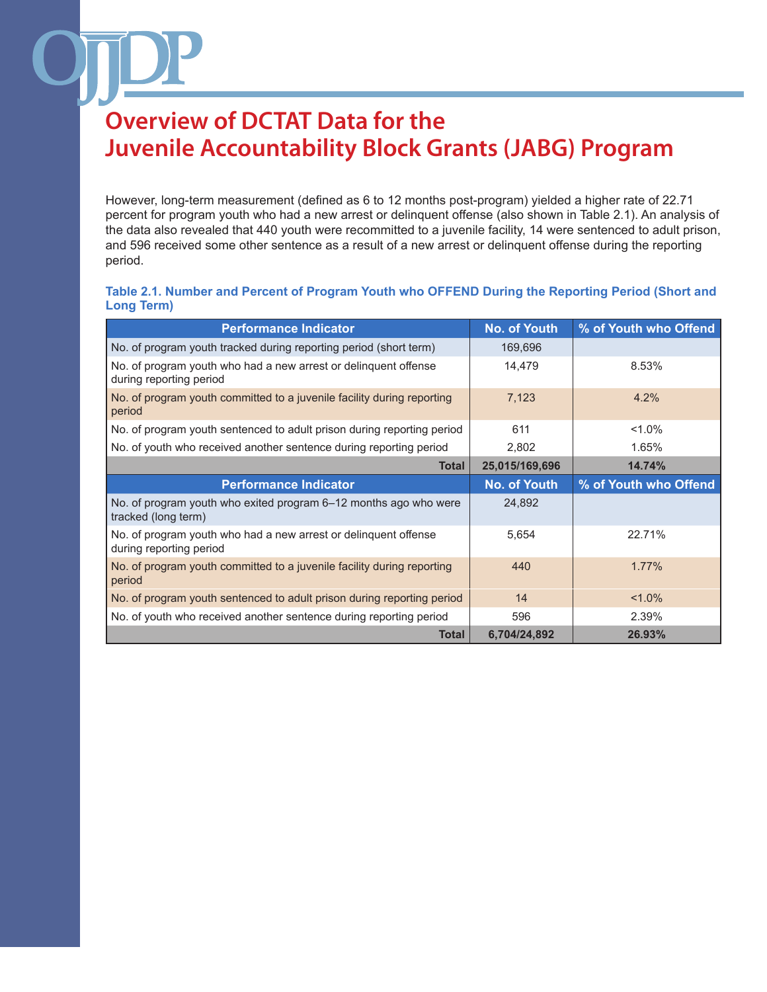However, long-term measurement (defined as 6 to 12 months post-program) yielded a higher rate of 22.71 percent for program youth who had a new arrest or delinquent offense (also shown in Table 2.1). An analysis of the data also revealed that 440 youth were recommitted to a juvenile facility, 14 were sentenced to adult prison, and 596 received some other sentence as a result of a new arrest or delinquent offense during the reporting period.

#### **Table 2.1. Number and Percent of Program Youth who OFFEND During the Reporting Period (Short and Long Term)**

| <b>Performance Indicator</b>                                                               | <b>No. of Youth</b> | % of Youth who Offend |
|--------------------------------------------------------------------------------------------|---------------------|-----------------------|
| No. of program youth tracked during reporting period (short term)                          | 169,696             |                       |
| No. of program youth who had a new arrest or delinquent offense<br>during reporting period | 14,479              | 8.53%                 |
| No. of program youth committed to a juvenile facility during reporting<br>period           | 7,123               | 4.2%                  |
| No. of program youth sentenced to adult prison during reporting period                     | 611                 | $< 1.0\%$             |
| No. of youth who received another sentence during reporting period                         | 2,802               | 1.65%                 |
| <b>Total</b>                                                                               | 25,015/169,696      | 14.74%                |
| <b>Performance Indicator</b>                                                               | <b>No. of Youth</b> | % of Youth who Offend |
| No. of program youth who exited program 6–12 months ago who were<br>tracked (long term)    | 24,892              |                       |
| No. of program youth who had a new arrest or delinguent offense<br>during reporting period | 5,654               | 22.71%                |
| No. of program youth committed to a juvenile facility during reporting<br>period           | 440                 | 1.77%                 |
| No. of program youth sentenced to adult prison during reporting period                     | 14                  | $< 1.0\%$             |
| No. of youth who received another sentence during reporting period                         | 596                 | 2.39%                 |
| <b>Total</b>                                                                               | 6,704/24,892        | 26.93%                |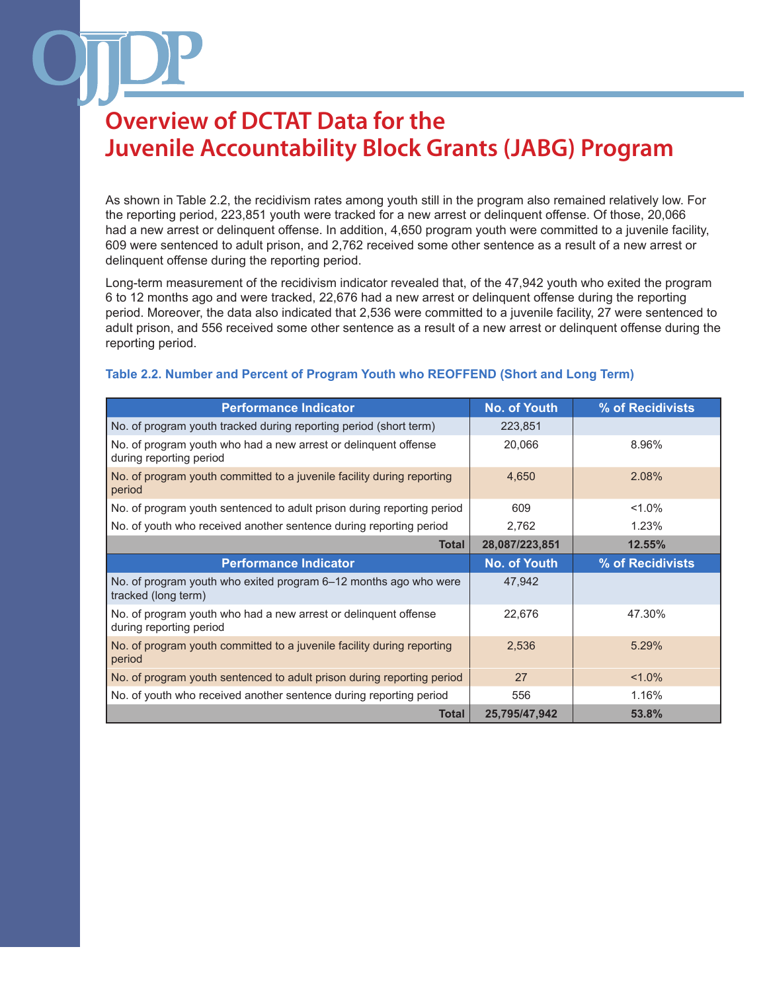As shown in Table 2.2, the recidivism rates among youth still in the program also remained relatively low. For the reporting period, 223,851 youth were tracked for a new arrest or delinquent offense. Of those, 20,066 had a new arrest or delinquent offense. In addition, 4,650 program youth were committed to a juvenile facility, 609 were sentenced to adult prison, and 2,762 received some other sentence as a result of a new arrest or delinquent offense during the reporting period.

Long-term measurement of the recidivism indicator revealed that, of the 47,942 youth who exited the program 6 to 12 months ago and were tracked, 22,676 had a new arrest or delinquent offense during the reporting period. Moreover, the data also indicated that 2,536 were committed to a juvenile facility, 27 were sentenced to adult prison, and 556 received some other sentence as a result of a new arrest or delinquent offense during the reporting period.

### **Table 2.2. Number and Percent of Program Youth who REOFFEND (Short and Long Term)**

| <b>Performance Indicator</b>                                                               | <b>No. of Youth</b> | % of Recidivists |
|--------------------------------------------------------------------------------------------|---------------------|------------------|
| No. of program youth tracked during reporting period (short term)                          | 223,851             |                  |
| No. of program youth who had a new arrest or delinguent offense<br>during reporting period | 20,066              | 8.96%            |
| No. of program youth committed to a juvenile facility during reporting<br>period           | 4,650               | 2.08%            |
| No. of program youth sentenced to adult prison during reporting period                     | 609                 | $1.0\%$          |
| No. of youth who received another sentence during reporting period                         | 2,762               | 1.23%            |
| <b>Total</b>                                                                               | 28,087/223,851      | 12.55%           |
| <b>Performance Indicator</b>                                                               | <b>No. of Youth</b> | % of Recidivists |
| No. of program youth who exited program 6-12 months ago who were<br>tracked (long term)    | 47,942              |                  |
| No. of program youth who had a new arrest or delinguent offense<br>during reporting period | 22,676              | 47.30%           |
| No. of program youth committed to a juvenile facility during reporting<br>period           | 2,536               | 5.29%            |
| No. of program youth sentenced to adult prison during reporting period                     | 27                  | $< 1.0\%$        |
| No. of youth who received another sentence during reporting period                         | 556                 | 1.16%            |
| <b>Total</b>                                                                               | 25,795/47,942       | 53.8%            |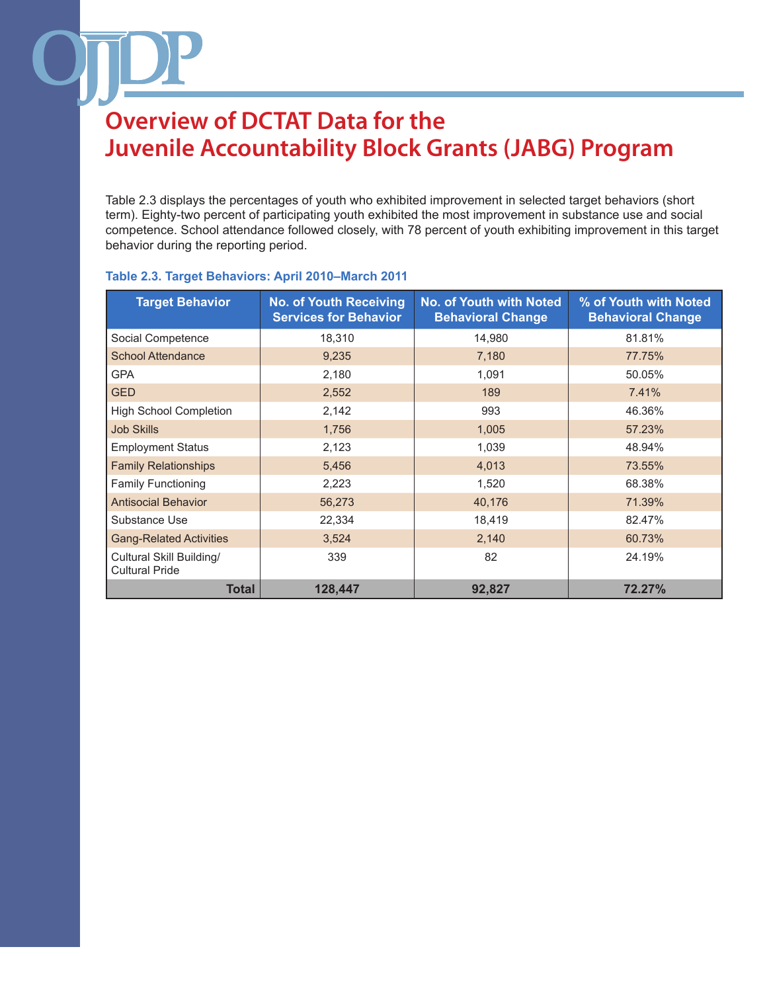Table 2.3 displays the percentages of youth who exhibited improvement in selected target behaviors (short term). Eighty-two percent of participating youth exhibited the most improvement in substance use and social competence. School attendance followed closely, with 78 percent of youth exhibiting improvement in this target behavior during the reporting period.

| <b>Target Behavior</b>                            | <b>No. of Youth Receiving</b><br><b>Services for Behavior</b> | <b>No. of Youth with Noted</b><br><b>Behavioral Change</b> | % of Youth with Noted<br><b>Behavioral Change</b> |
|---------------------------------------------------|---------------------------------------------------------------|------------------------------------------------------------|---------------------------------------------------|
| Social Competence                                 | 18,310                                                        | 14,980                                                     | 81.81%                                            |
| <b>School Attendance</b>                          | 9,235                                                         | 7,180                                                      | 77.75%                                            |
| <b>GPA</b>                                        | 2,180                                                         | 1,091                                                      | 50.05%                                            |
| <b>GED</b>                                        | 2,552                                                         | 189                                                        | 7.41%                                             |
| <b>High School Completion</b>                     | 2,142                                                         | 993                                                        | 46.36%                                            |
| <b>Job Skills</b>                                 | 1,756                                                         | 1,005                                                      | 57.23%                                            |
| <b>Employment Status</b>                          | 2,123                                                         | 1,039                                                      | 48.94%                                            |
| <b>Family Relationships</b>                       | 5,456                                                         | 4,013                                                      | 73.55%                                            |
| <b>Family Functioning</b>                         | 2,223                                                         | 1,520                                                      | 68.38%                                            |
| <b>Antisocial Behavior</b>                        | 56,273                                                        | 40,176                                                     | 71.39%                                            |
| Substance Use                                     | 22,334                                                        | 18,419                                                     | 82.47%                                            |
| <b>Gang-Related Activities</b>                    | 3,524                                                         | 2,140                                                      | 60.73%                                            |
| Cultural Skill Building/<br><b>Cultural Pride</b> | 339                                                           | 82                                                         | 24.19%                                            |
| <b>Total</b>                                      | 128,447                                                       | 92,827                                                     | 72.27%                                            |

#### **Table 2.3. Target Behaviors: April 2010–March 2011**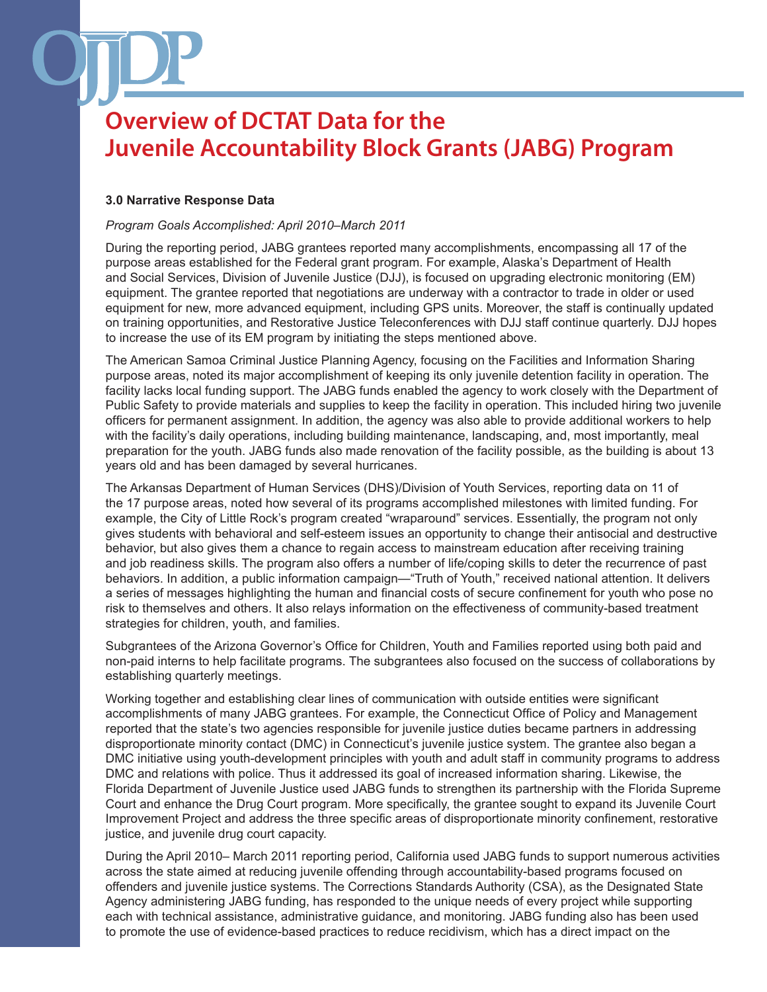#### **3.0 Narrative Response Data**

#### *Program Goals Accomplished: April 2010–March 2011*

During the reporting period, JABG grantees reported many accomplishments, encompassing all 17 of the purpose areas established for the Federal grant program. For example, Alaska's Department of Health and Social Services, Division of Juvenile Justice (DJJ), is focused on upgrading electronic monitoring (EM) equipment. The grantee reported that negotiations are underway with a contractor to trade in older or used equipment for new, more advanced equipment, including GPS units. Moreover, the staff is continually updated on training opportunities, and Restorative Justice Teleconferences with DJJ staff continue quarterly. DJJ hopes to increase the use of its EM program by initiating the steps mentioned above.

The American Samoa Criminal Justice Planning Agency, focusing on the Facilities and Information Sharing purpose areas, noted its major accomplishment of keeping its only juvenile detention facility in operation. The facility lacks local funding support. The JABG funds enabled the agency to work closely with the Department of Public Safety to provide materials and supplies to keep the facility in operation. This included hiring two juvenile officers for permanent assignment. In addition, the agency was also able to provide additional workers to help with the facility's daily operations, including building maintenance, landscaping, and, most importantly, meal preparation for the youth. JABG funds also made renovation of the facility possible, as the building is about 13 years old and has been damaged by several hurricanes.

The Arkansas Department of Human Services (DHS)/Division of Youth Services, reporting data on 11 of the 17 purpose areas, noted how several of its programs accomplished milestones with limited funding. For example, the City of Little Rock's program created "wraparound" services. Essentially, the program not only gives students with behavioral and self-esteem issues an opportunity to change their antisocial and destructive behavior, but also gives them a chance to regain access to mainstream education after receiving training and job readiness skills. The program also offers a number of life/coping skills to deter the recurrence of past behaviors. In addition, a public information campaign—"Truth of Youth," received national attention. It delivers a series of messages highlighting the human and financial costs of secure confinement for youth who pose no risk to themselves and others. It also relays information on the effectiveness of community-based treatment strategies for children, youth, and families.

Subgrantees of the Arizona Governor's Office for Children, Youth and Families reported using both paid and non-paid interns to help facilitate programs. The subgrantees also focused on the success of collaborations by establishing quarterly meetings.

Working together and establishing clear lines of communication with outside entities were significant accomplishments of many JABG grantees. For example, the Connecticut Office of Policy and Management reported that the state's two agencies responsible for juvenile justice duties became partners in addressing disproportionate minority contact (DMC) in Connecticut's juvenile justice system. The grantee also began a DMC initiative using youth-development principles with youth and adult staff in community programs to address DMC and relations with police. Thus it addressed its goal of increased information sharing. Likewise, the Florida Department of Juvenile Justice used JABG funds to strengthen its partnership with the Florida Supreme Court and enhance the Drug Court program. More specifically, the grantee sought to expand its Juvenile Court Improvement Project and address the three specific areas of disproportionate minority confinement, restorative justice, and juvenile drug court capacity.

During the April 2010– March 2011 reporting period, California used JABG funds to support numerous activities across the state aimed at reducing juvenile offending through accountability-based programs focused on offenders and juvenile justice systems. The Corrections Standards Authority (CSA), as the Designated State Agency administering JABG funding, has responded to the unique needs of every project while supporting each with technical assistance, administrative guidance, and monitoring. JABG funding also has been used to promote the use of evidence-based practices to reduce recidivism, which has a direct impact on the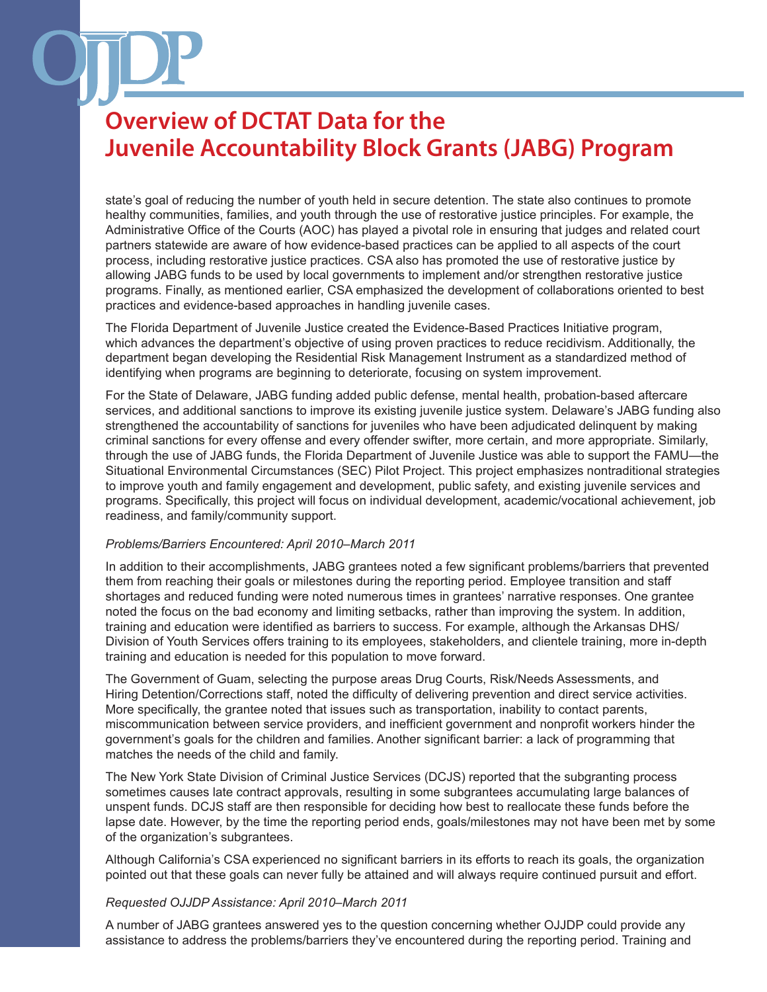state's goal of reducing the number of youth held in secure detention. The state also continues to promote healthy communities, families, and youth through the use of restorative justice principles. For example, the Administrative Office of the Courts (AOC) has played a pivotal role in ensuring that judges and related court partners statewide are aware of how evidence-based practices can be applied to all aspects of the court process, including restorative justice practices. CSA also has promoted the use of restorative justice by allowing JABG funds to be used by local governments to implement and/or strengthen restorative justice programs. Finally, as mentioned earlier, CSA emphasized the development of collaborations oriented to best practices and evidence-based approaches in handling juvenile cases.

The Florida Department of Juvenile Justice created the Evidence-Based Practices Initiative program, which advances the department's objective of using proven practices to reduce recidivism. Additionally, the department began developing the Residential Risk Management Instrument as a standardized method of identifying when programs are beginning to deteriorate, focusing on system improvement.

For the State of Delaware, JABG funding added public defense, mental health, probation-based aftercare services, and additional sanctions to improve its existing juvenile justice system. Delaware's JABG funding also strengthened the accountability of sanctions for juveniles who have been adjudicated delinquent by making criminal sanctions for every offense and every offender swifter, more certain, and more appropriate. Similarly, through the use of JABG funds, the Florida Department of Juvenile Justice was able to support the FAMU—the Situational Environmental Circumstances (SEC) Pilot Project. This project emphasizes nontraditional strategies to improve youth and family engagement and development, public safety, and existing juvenile services and programs. Specifically, this project will focus on individual development, academic/vocational achievement, job readiness, and family/community support.

#### *Problems/Barriers Encountered: April 2010–March 2011*

In addition to their accomplishments, JABG grantees noted a few significant problems/barriers that prevented them from reaching their goals or milestones during the reporting period. Employee transition and staff shortages and reduced funding were noted numerous times in grantees' narrative responses. One grantee noted the focus on the bad economy and limiting setbacks, rather than improving the system. In addition, training and education were identified as barriers to success. For example, although the Arkansas DHS/ Division of Youth Services offers training to its employees, stakeholders, and clientele training, more in-depth training and education is needed for this population to move forward.

The Government of Guam, selecting the purpose areas Drug Courts, Risk/Needs Assessments, and Hiring Detention/Corrections staff, noted the difficulty of delivering prevention and direct service activities. More specifically, the grantee noted that issues such as transportation, inability to contact parents, miscommunication between service providers, and inefficient government and nonprofit workers hinder the government's goals for the children and families. Another significant barrier: a lack of programming that matches the needs of the child and family.

The New York State Division of Criminal Justice Services (DCJS) reported that the subgranting process sometimes causes late contract approvals, resulting in some subgrantees accumulating large balances of unspent funds. DCJS staff are then responsible for deciding how best to reallocate these funds before the lapse date. However, by the time the reporting period ends, goals/milestones may not have been met by some of the organization's subgrantees.

Although California's CSA experienced no significant barriers in its efforts to reach its goals, the organization pointed out that these goals can never fully be attained and will always require continued pursuit and effort.

#### *Requested OJJDP Assistance: April 2010–March 2011*

A number of JABG grantees answered yes to the question concerning whether OJJDP could provide any assistance to address the problems/barriers they've encountered during the reporting period. Training and